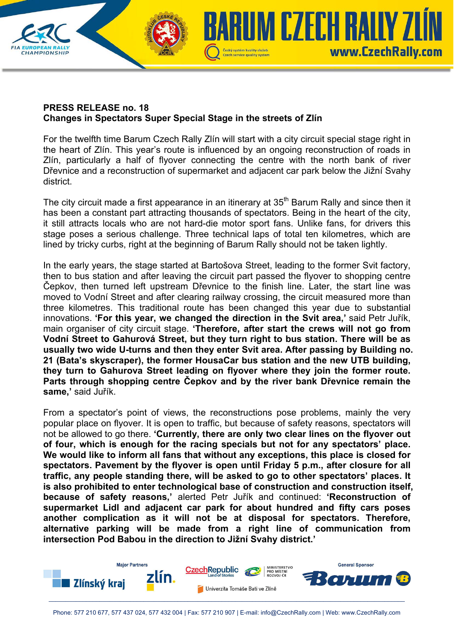

## **PRESS RELEASE no. 18 Changes in Spectators Super Special Stage in the streets of Zlín**

For the twelfth time Barum Czech Rally Zlín will start with a city circuit special stage right in the heart of Zlín. This year's route is influenced by an ongoing reconstruction of roads in Zlín, particularly a half of flyover connecting the centre with the north bank of river Dřevnice and a reconstruction of supermarket and adjacent car park below the Jižní Svahy district.

The city circuit made a first appearance in an itinerary at  $35<sup>th</sup>$  Barum Rally and since then it has been a constant part attracting thousands of spectators. Being in the heart of the city, it still attracts locals who are not hard-die motor sport fans. Unlike fans, for drivers this stage poses a serious challenge. Three technical laps of total ten kilometres, which are lined by tricky curbs, right at the beginning of Barum Rally should not be taken lightly.

In the early years, the stage started at Bartošova Street, leading to the former Svit factory, then to bus station and after leaving the circuit part passed the flyover to shopping centre Čepkov, then turned left upstream Dřevnice to the finish line. Later, the start line was moved to Vodní Street and after clearing railway crossing, the circuit measured more than three kilometres. This traditional route has been changed this year due to substantial innovations. **'For this year, we changed the direction in the Svit area,'** said Petr Juřík, main organiser of city circuit stage. **'Therefore, after start the crews will not go from Vodní Street to Gahurová Street, but they turn right to bus station. There will be as usually two wide U-turns and then they enter Svit area. After passing by Building no. 21 (Bata's skyscraper), the former HousaCar bus station and the new UTB building, they turn to Gahurova Street leading on flyover where they join the former route. Parts through shopping centre Čepkov and by the river bank Dřevnice remain the same,'** said Juřík.

From a spectator's point of views, the reconstructions pose problems, mainly the very popular place on flyover. It is open to traffic, but because of safety reasons, spectators will not be allowed to go there. **'Currently, there are only two clear lines on the flyover out of four, which is enough for the racing specials but not for any spectators' place. We would like to inform all fans that without any exceptions, this place is closed for spectators. Pavement by the flyover is open until Friday 5 p.m., after closure for all traffic, any people standing there, will be asked to go to other spectators' places. It is also prohibited to enter technological base of construction and construction itself, because of safety reasons,'** alerted Petr Juřík and continued: **'Reconstruction of supermarket Lidl and adjacent car park for about hundred and fifty cars poses another complication as it will not be at disposal for spectators. Therefore, alternative parking will be made from a right line of communication from intersection Pod Babou in the direction to Jižní Svahy district.'**